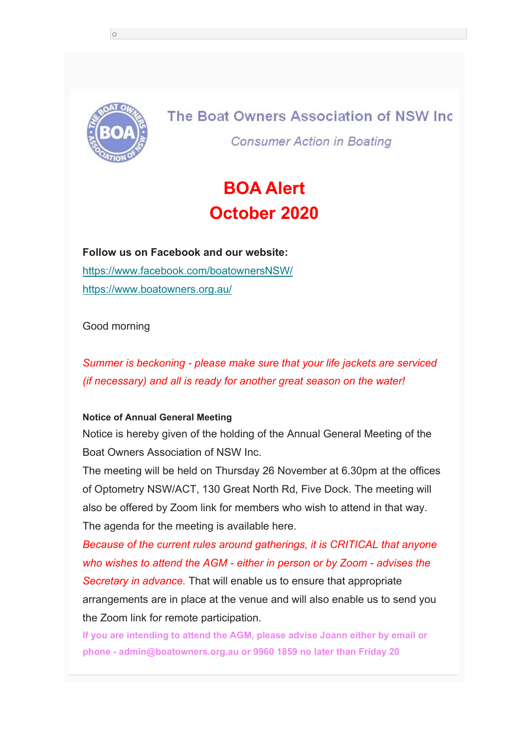

o

The Boat Owners Association of NSW Inc **Consumer Action in Boating** 

# **BOA Alert October 2020**

**Follow us on Facebook and our website:** https://www.facebook.com/boatownersNSW/ https://www.boatowners.org.au/

Good morning

*Summer is beckoning - please make sure that your life jackets are serviced (if necessary) and all is ready for another great season on the water!* 

#### **Notice of Annual General Meeting**

Notice is hereby given of the holding of the Annual General Meeting of the Boat Owners Association of NSW Inc.

The meeting will be held on Thursday 26 November at 6.30pm at the offices of Optometry NSW/ACT, 130 Great North Rd, Five Dock. The meeting will also be offered by Zoom link for members who wish to attend in that way. The agenda for the meeting is available here.

*Because of the current rules around gatherings, it is CRITICAL that anyone who wishes to attend the AGM - either in person or by Zoom - advises the Secretary in advance.* That will enable us to ensure that appropriate arrangements are in place at the venue and will also enable us to send you the Zoom link for remote participation.

**If you are intending to attend the AGM, please advise Joann either by email or phone - admin@boatowners.org.au or 9960 1859 no later than Friday 20**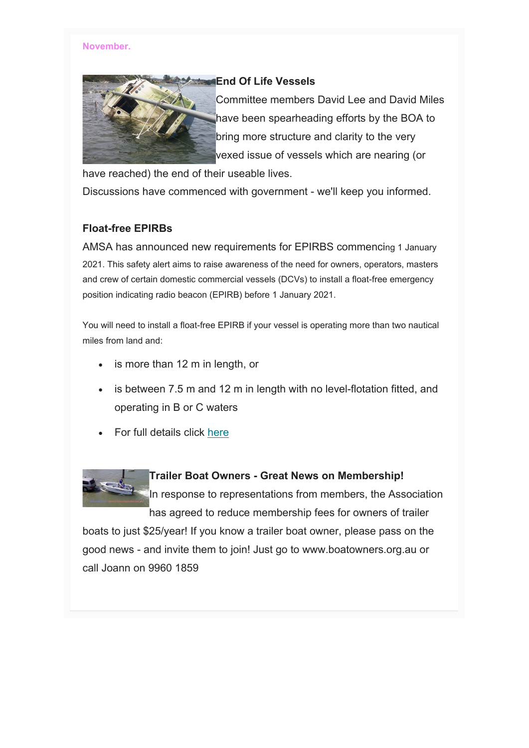#### **November.**



### **End Of Life Vessels**

Committee members David Lee and David Miles have been spearheading efforts by the BOA to bring more structure and clarity to the very vexed issue of vessels which are nearing (or

have reached) the end of their useable lives.

Discussions have commenced with government - we'll keep you informed.

## **Float-free EPIRBs**

AMSA has announced new requirements for EPIRBS commencing 1 January 2021. This safety alert aims to raise awareness of the need for owners, operators, masters and crew of certain domestic commercial vessels (DCVs) to install a float-free emergency position indicating radio beacon (EPIRB) before 1 January 2021.

You will need to install a float-free EPIRB if your vessel is operating more than two nautical miles from land and:

- is more than 12 m in length, or
- is between 7.5 m and 12 m in length with no level-flotation fitted, and operating in B or C waters
- For full details click here



#### **Trailer Boat Owners - Great News on Membership!**

In response to representations from members, the Association has agreed to reduce membership fees for owners of trailer

boats to just \$25/year! If you know a trailer boat owner, please pass on the good news - and invite them to join! Just go to www.boatowners.org.au or call Joann on 9960 1859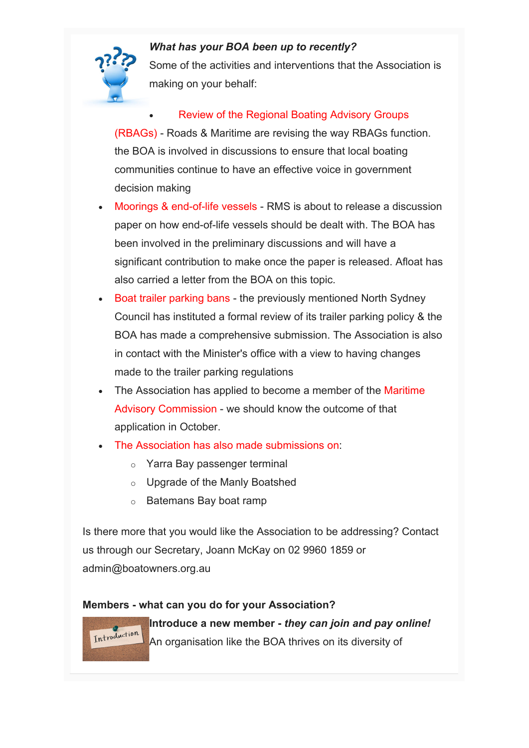

# *What has your BOA been up to recently?*

Some of the activities and interventions that the Association is making on your behalf:

# Review of the Regional Boating Advisory Groups

(RBAGs) - Roads & Maritime are revising the way RBAGs function. the BOA is involved in discussions to ensure that local boating communities continue to have an effective voice in government decision making

- Moorings & end-of-life vessels RMS is about to release a discussion paper on how end-of-life vessels should be dealt with. The BOA has been involved in the preliminary discussions and will have a significant contribution to make once the paper is released. Afloat has also carried a letter from the BOA on this topic.
- Boat trailer parking bans the previously mentioned North Sydney Council has instituted a formal review of its trailer parking policy & the BOA has made a comprehensive submission. The Association is also in contact with the Minister's office with a view to having changes made to the trailer parking regulations
- The Association has applied to become a member of the Maritime Advisory Commission - we should know the outcome of that application in October.
- The Association has also made submissions on:
	- o Yarra Bay passenger terminal
	- o Upgrade of the Manly Boatshed
	- o Batemans Bay boat ramp

Is there more that you would like the Association to be addressing? Contact us through our Secretary, Joann McKay on 02 9960 1859 or admin@boatowners.org.au

## **Members - what can you do for your Association?**

Introduction

**Introduce a new member -** *they can join and pay online!* An organisation like the BOA thrives on its diversity of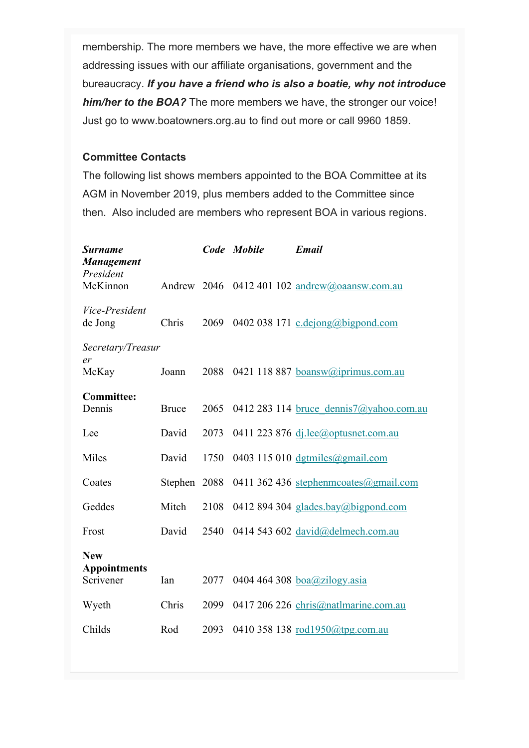membership. The more members we have, the more effective we are when addressing issues with our affiliate organisations, government and the bureaucracy. *If you have a friend who is also a boatie, why not introduce him/her to the BOA?* The more members we have, the stronger our voice! Just go to www.boatowners.org.au to find out more or call 9960 1859.

## **Committee Contacts**

The following list shows members appointed to the BOA Committee at its AGM in November 2019, plus members added to the Committee since then. Also included are members who represent BOA in various regions.

| <b>Surname</b><br><b>Management</b> |              |      | Code Mobile | <b>Email</b>                                  |
|-------------------------------------|--------------|------|-------------|-----------------------------------------------|
| President<br>McKinnon               |              |      |             | Andrew 2046 0412 401 102 andrew@oaansw.com.au |
| Vice-President<br>de Jong           | Chris        | 2069 |             | 0402 038 171 c.dejong@bigpond.com             |
| Secretary/Treasur                   |              |      |             |                                               |
| er<br>McKay                         | Joann        | 2088 |             | 0421 118 887 boansw@iprimus.com.au            |
| <b>Committee:</b>                   |              |      |             |                                               |
| Dennis                              | <b>Bruce</b> | 2065 |             | 0412 283 114 bruce dennis7@yahoo.com.au       |
| Lee                                 | David        | 2073 |             | 0411 223 876 $dj. lee$ @optusnet.com.au       |
| Miles                               | David        | 1750 |             | 0403 115 010 $d$ gtmiles@gmail.com            |
| Coates                              | Stephen 2088 |      |             | 0411 362 436 stephenmcoates@gmail.com         |
| Geddes                              | Mitch        | 2108 |             | 0412 894 304 glades.bay@bigpond.com           |
| Frost                               | David        | 2540 |             | 0414 543 602 david@delmech.com.au             |
| <b>New</b>                          |              |      |             |                                               |
| <b>Appointments</b><br>Scrivener    | Ian          | 2077 |             | 0404 464 308 $boa@zilogy.asia$                |
| Wyeth                               | Chris        | 2099 |             | 0417 206 226 chris@natlmarine.com.au          |
| Childs                              | Rod          | 2093 |             | 0410 358 138 $rod1950@tpg.com.au$             |